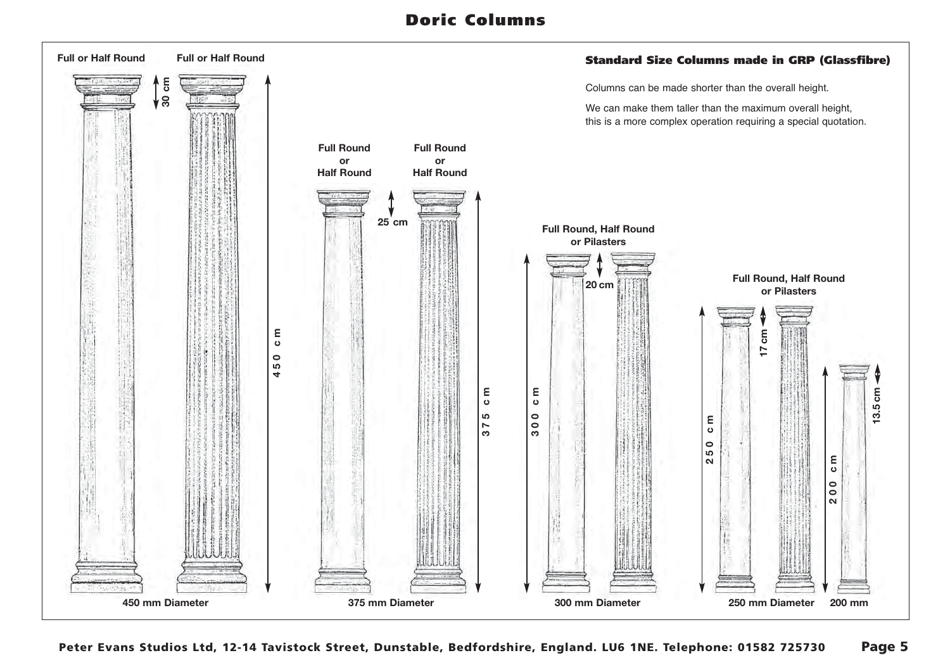## **Doric Columns**